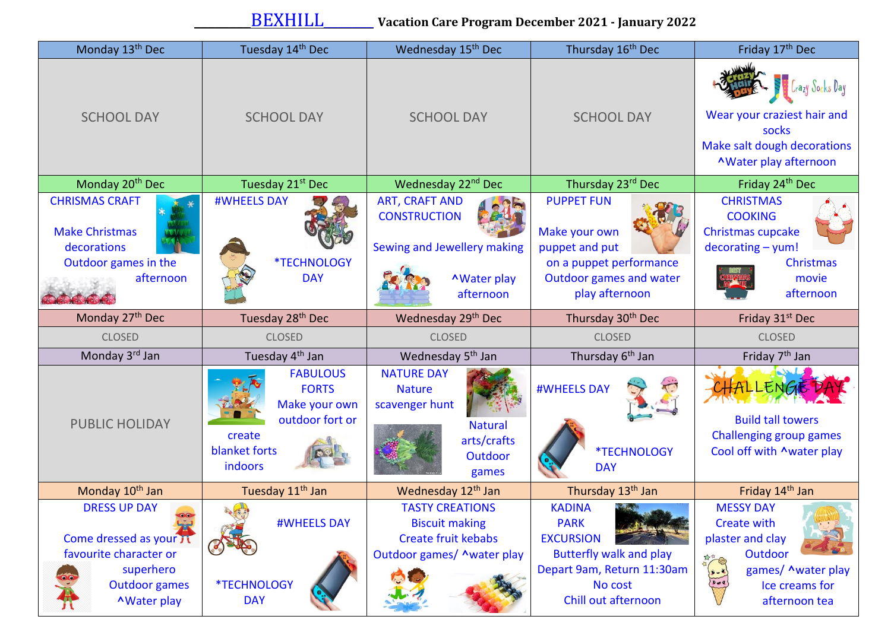| Monday 13 <sup>th</sup> Dec                                                                                   | Tuesday 14th Dec                                                                                          | Wednesday 15 <sup>th</sup> Dec                                                                                 | Thursday 16 <sup>th</sup> Dec                                                                                                | Friday 17 <sup>th</sup> Dec                                                                                            |
|---------------------------------------------------------------------------------------------------------------|-----------------------------------------------------------------------------------------------------------|----------------------------------------------------------------------------------------------------------------|------------------------------------------------------------------------------------------------------------------------------|------------------------------------------------------------------------------------------------------------------------|
| <b>SCHOOL DAY</b>                                                                                             | <b>SCHOOL DAY</b>                                                                                         | <b>SCHOOL DAY</b>                                                                                              | <b>SCHOOL DAY</b>                                                                                                            | Crazy Socks Day<br>Wear your craziest hair and<br>socks<br>Make salt dough decorations<br><b>^Water play afternoon</b> |
| Monday 20 <sup>th</sup> Dec                                                                                   | Tuesday 21 <sup>st</sup> Dec                                                                              | Wednesday 22 <sup>nd</sup> Dec                                                                                 | Thursday 23rd Dec                                                                                                            | Friday 24th Dec                                                                                                        |
| <b>CHRISMAS CRAFT</b><br><b>Make Christmas</b><br>decorations<br>Outdoor games in the<br>afternoon            | <b>#WHEELS DAY</b><br><b>*TECHNOLOGY</b><br><b>DAY</b>                                                    | <b>ART, CRAFT AND</b><br><b>CONSTRUCTION</b><br>Sewing and Jewellery making<br><b>AWater play</b><br>afternoon | <b>PUPPET FUN</b><br>Make your own<br>puppet and put<br>on a puppet performance<br>Outdoor games and water<br>play afternoon | <b>CHRISTMAS</b><br><b>COOKING</b><br>Christmas cupcake<br>$decorating - yum!$<br>Christmas<br>movie<br>afternoon      |
| Monday 27 <sup>th</sup> Dec                                                                                   | Tuesday 28 <sup>th</sup> Dec                                                                              | Wednesday 29th Dec                                                                                             | Thursday 30 <sup>th</sup> Dec                                                                                                | Friday 31 <sup>st</sup> Dec                                                                                            |
| <b>CLOSED</b>                                                                                                 | <b>CLOSED</b>                                                                                             | <b>CLOSED</b>                                                                                                  | <b>CLOSED</b>                                                                                                                | <b>CLOSED</b>                                                                                                          |
| Monday 3rd Jan                                                                                                | Tuesday 4 <sup>th</sup> Jan                                                                               | Wednesday 5 <sup>th</sup> Jan                                                                                  | Thursday 6 <sup>th</sup> Jan                                                                                                 | Friday 7 <sup>th</sup> Jan                                                                                             |
| <b>PUBLIC HOLIDAY</b>                                                                                         | <b>FABULOUS</b><br><b>FORTS</b><br>Make your own<br>outdoor fort or<br>create<br>blanket forts<br>indoors | <b>NATURE DAY</b><br><b>Nature</b><br>scavenger hunt<br><b>Natural</b><br>arts/crafts<br>Outdoor<br>games      | <b>#WHEELS DAY</b><br>*TECHNOLOGY<br><b>DAY</b>                                                                              | <b>Build tall towers</b><br><b>Challenging group games</b><br>Cool off with Awater play                                |
| Monday 10 <sup>th</sup> Jan                                                                                   | Tuesday 11 <sup>th</sup> Jan                                                                              | Wednesday 12 <sup>th</sup> Jan                                                                                 | Thursday 13 <sup>th</sup> Jan                                                                                                | Friday 14 <sup>th</sup> Jan                                                                                            |
| <b>DRESS UP DAY</b><br>Come dressed as your Tt<br>favourite character or<br>superhero<br><b>Outdoor games</b> | $\mathbb{Z}$<br><b>#WHEELS DAY</b><br><b>*TECHNOLOGY</b>                                                  | <b>TASTY CREATIONS</b><br><b>Biscuit making</b><br><b>Create fruit kebabs</b><br>Outdoor games/ ^water play    | <b>KADINA</b><br><b>PARK</b><br><b>EXCURSION</b><br><b>Butterfly walk and play</b><br>Depart 9am, Return 11:30am<br>No cost  | <b>MESSY DAY</b><br><b>Create with</b><br>plaster and clay<br>Outdoor<br>games/ ^water play<br>Ice creams for          |
| <b>AWater play</b>                                                                                            | <b>DAY</b>                                                                                                |                                                                                                                | Chill out afternoon                                                                                                          | afternoon tea                                                                                                          |